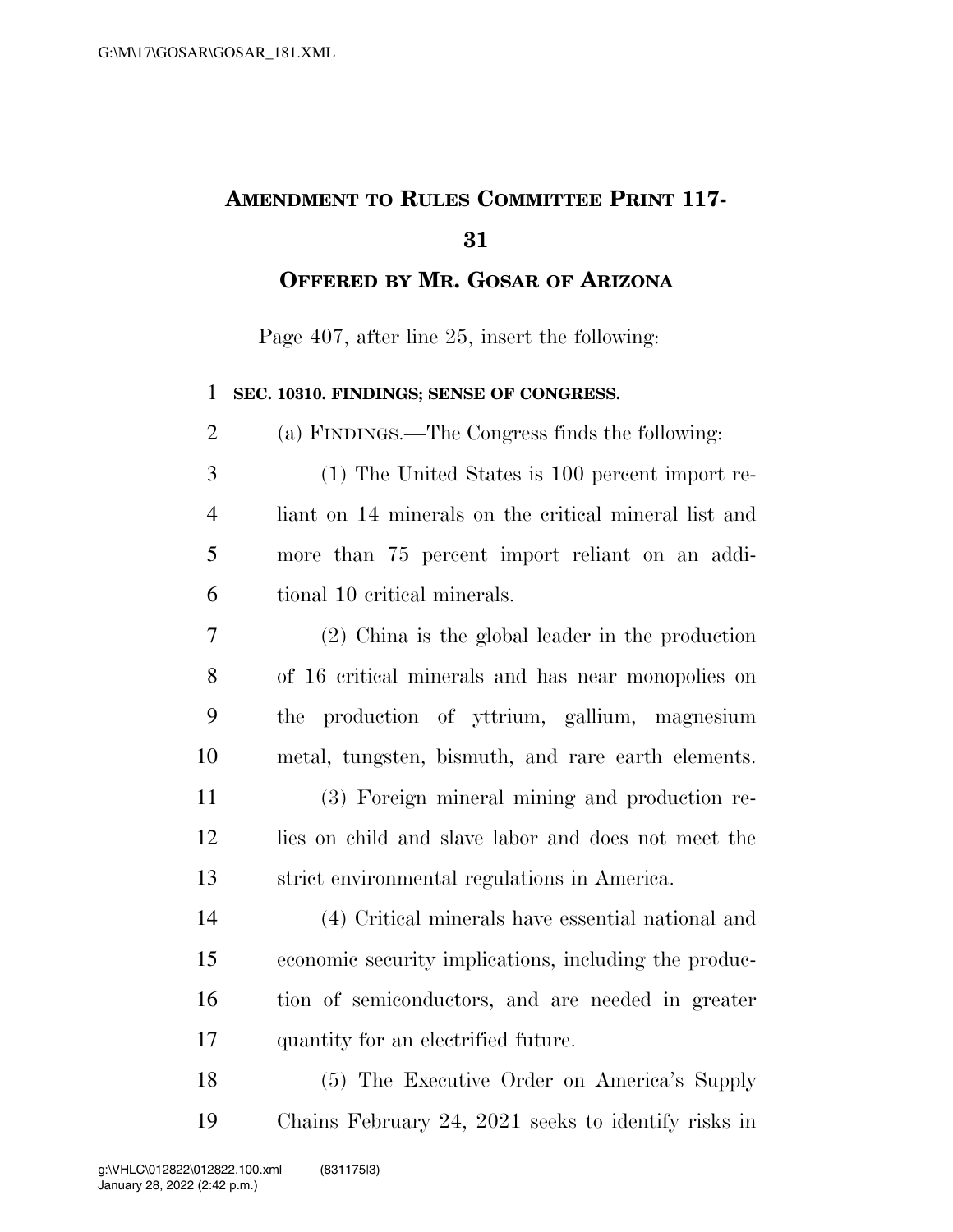## **AMENDMENT TO RULES COMMITTEE PRINT 117-**

**OFFERED BY MR. GOSAR OF ARIZONA**

Page 407, after line 25, insert the following:

## **SEC. 10310. FINDINGS; SENSE OF CONGRESS.**

(a) FINDINGS.—The Congress finds the following:

- (1) The United States is 100 percent import re- liant on 14 minerals on the critical mineral list and more than 75 percent import reliant on an addi-tional 10 critical minerals.
- (2) China is the global leader in the production of 16 critical minerals and has near monopolies on the production of yttrium, gallium, magnesium metal, tungsten, bismuth, and rare earth elements. (3) Foreign mineral mining and production re- lies on child and slave labor and does not meet the strict environmental regulations in America.

 (4) Critical minerals have essential national and economic security implications, including the produc- tion of semiconductors, and are needed in greater quantity for an electrified future.

 (5) The Executive Order on America's Supply Chains February 24, 2021 seeks to identify risks in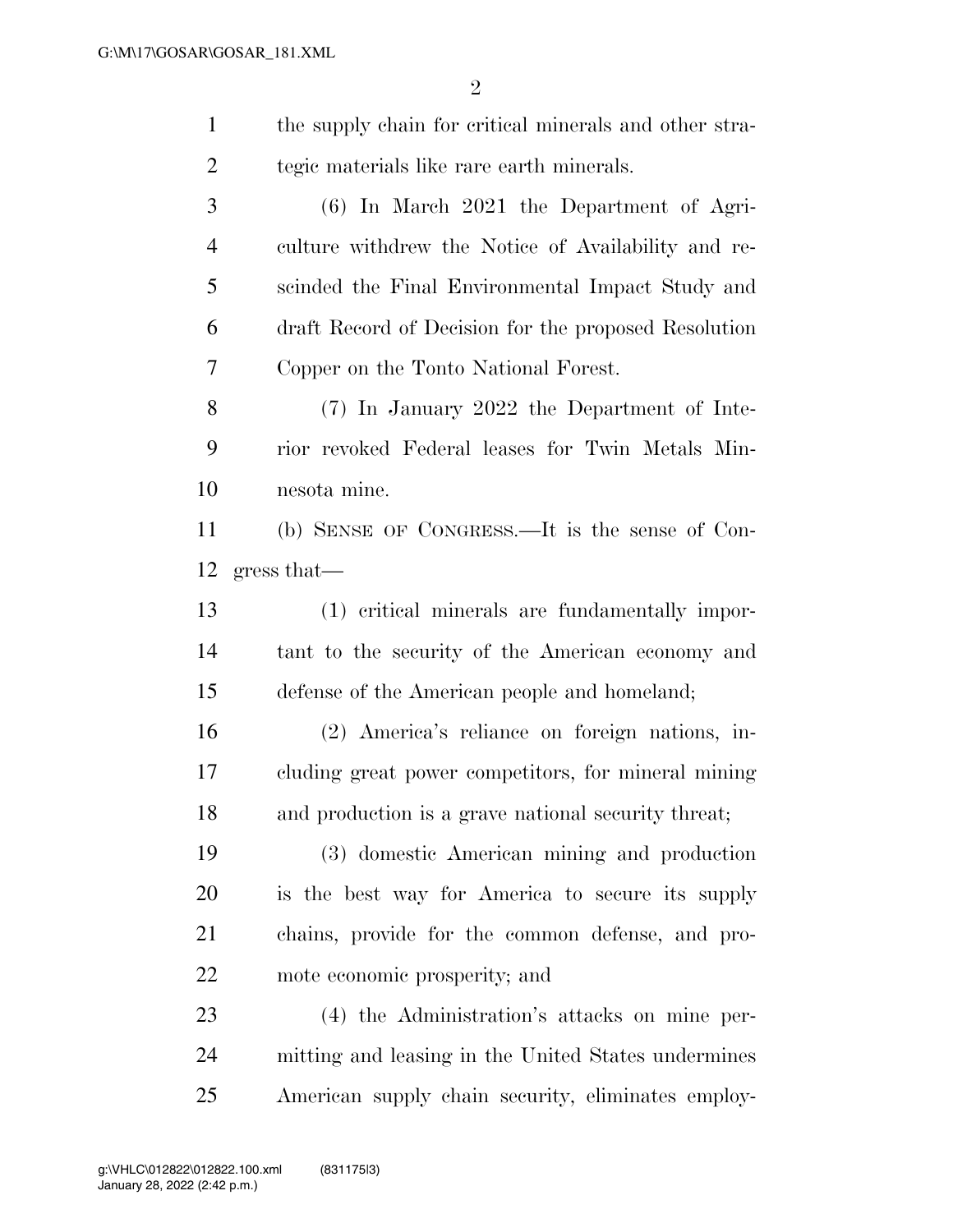| $\mathbf{1}$   | the supply chain for critical minerals and other stra- |
|----------------|--------------------------------------------------------|
| 2              | tegic materials like rare earth minerals.              |
| 3              | $(6)$ In March 2021 the Department of Agri-            |
| $\overline{4}$ | culture withdrew the Notice of Availability and re-    |
| 5              | scinded the Final Environmental Impact Study and       |
| 6              | draft Record of Decision for the proposed Resolution   |
| 7              | Copper on the Tonto National Forest.                   |
| 8              | (7) In January 2022 the Department of Inte-            |
| 9              | rior revoked Federal leases for Twin Metals Min-       |
| 10             | nesota mine.                                           |
| 11             | (b) SENSE OF CONGRESS.—It is the sense of Con-         |
| 12             | gress that                                             |
| 13             | (1) critical minerals are fundamentally impor-         |
| 14             | tant to the security of the American economy and       |
| 15             | defense of the American people and homeland;           |
| 16             | (2) America's reliance on foreign nations, in-         |
| 17             | cluding great power competitors, for mineral mining    |
| 18             | and production is a grave national security threat;    |
| 19             | (3) domestic American mining and production            |
| 20             | is the best way for America to secure its supply       |
| 21             | chains, provide for the common defense, and pro-       |
| 22             | mote economic prosperity; and                          |
| 23             | (4) the Administration's attacks on mine per-          |
| 24             | mitting and leasing in the United States undermines    |
| 25             | American supply chain security, eliminates employ-     |